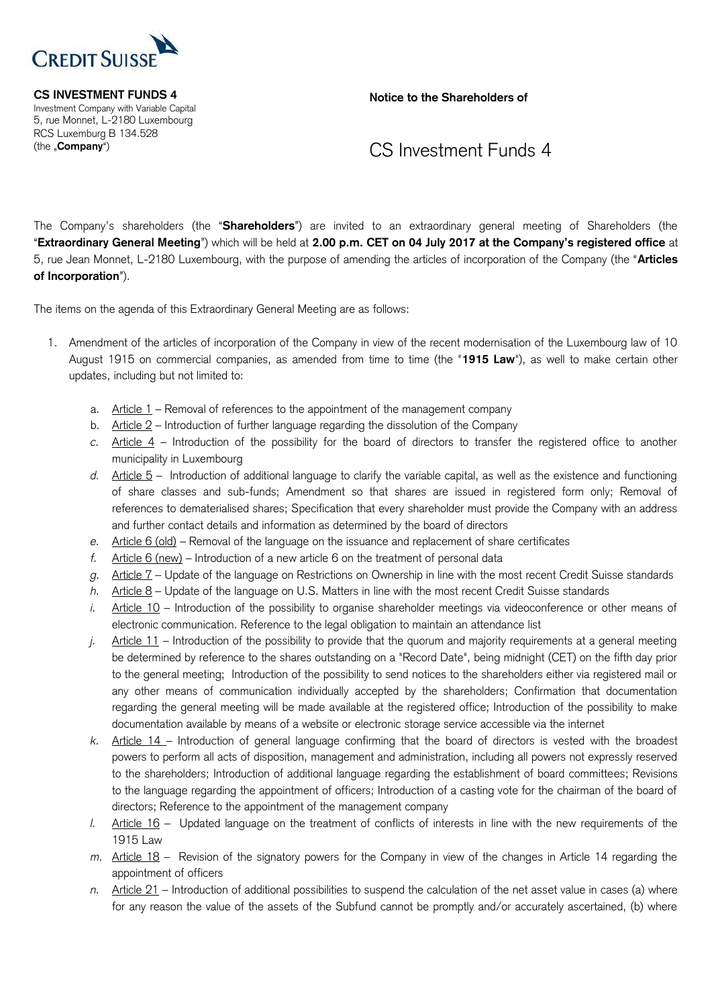

 Investment Company with Variable Capital 5, rue Monnet, L-2180 Luxembourg RCS Luxemburg B 134.528

**CS INVESTMENT FUNDS 4** Notice to the Shareholders of

## (the "**Company**") **CS** Investment Funds 4

 The Company's shareholders (the "**Shareholders**") are invited to an extraordinary general meeting of Shareholders (the "**Extraordinary General Meeting**") which will be held at **2.00 p.m. CET on 04 July 2017 at the Company's registered office** at 5, rue Jean Monnet, L-2180 Luxembourg, with the purpose of amending the articles of incorporation of the Company (the "**Articles of Incorporation**").

The items on the agenda of this Extraordinary General Meeting are as follows:

- 1. Amendment of the articles of incorporation of the Company in view of the recent modernisation of the Luxembourg law of 10 August 1915 on commercial companies, as amended from time to time (the "**1915 Law**"), as well to make certain other updates, including but not limited to:
	- a. Article 1 Removal of references to the appointment of the management company
	- b. Article 2 Introduction of further language regarding the dissolution of the Company
	- *c.* Article 4 Introduction of the possibility for the board of directors to transfer the registered office to another municipality in Luxembourg
	- *d.* Article 5 Introduction of additional language to clarify the variable capital, as well as the existence and functioning of share classes and sub-funds; Amendment so that shares are issued in registered form only; Removal of references to dematerialised shares; Specification that every shareholder must provide the Company with an address and further contact details and information as determined by the board of directors
	- *e.* Article 6 (old) Removal of the language on the issuance and replacement of share certificates
	- *f.* Article 6 (new) Introduction of a new article 6 on the treatment of personal data
	- *g.* Article 7 Update of the language on Restrictions on Ownership in line with the most recent Credit Suisse standards
	- *h.* Article 8 Update of the language on U.S. Matters in line with the most recent Credit Suisse standards
	- *i.* Article 10 Introduction of the possibility to organise shareholder meetings via videoconference or other means of electronic communication. Reference to the legal obligation to maintain an attendance list
	- *j.* Article 11 Introduction of the possibility to provide that the quorum and majority requirements at a general meeting be determined by reference to the shares outstanding on a "Record Date", being midnight (CET) on the fifth day prior to the general meeting; Introduction of the possibility to send notices to the shareholders either via registered mail or any other means of communication individually accepted by the shareholders; Confirmation that documentation regarding the general meeting will be made available at the registered office; Introduction of the possibility to make documentation available by means of a website or electronic storage service accessible via the internet
	- *k.* Article 14 Introduction of general language confirming that the board of directors is vested with the broadest powers to perform all acts of disposition, management and administration, including all powers not expressly reserved to the shareholders; Introduction of additional language regarding the establishment of board committees; Revisions to the language regarding the appointment of officers; Introduction of a casting vote for the chairman of the board of directors; Reference to the appointment of the management company
	- *l.* Article 16 Updated language on the treatment of conflicts of interests in line with the new requirements of the 1915 Law
	- *m.* Article 18 Revision of the signatory powers for the Company in view of the changes in Article 14 regarding the appointment of officers
	- *n.* Article 21 Introduction of additional possibilities to suspend the calculation of the net asset value in cases (a) where for any reason the value of the assets of the Subfund cannot be promptly and/or accurately ascertained, (b) where